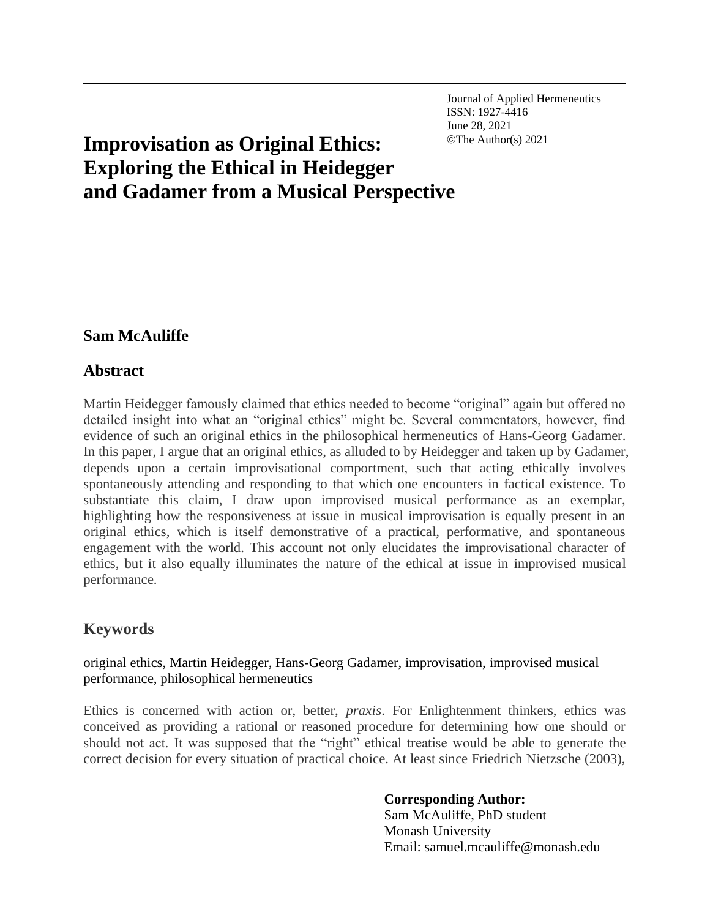Journal of Applied Hermeneutics ISSN: 1927-4416 June 28, 2021

# **Improvisation as Original Ethics:**  $\text{©The Author(s)} 2021$ **Exploring the Ethical in Heidegger and Gadamer from a Musical Perspective**

# **Sam McAuliffe**

# **Abstract**

Martin Heidegger famously claimed that ethics needed to become "original" again but offered no detailed insight into what an "original ethics" might be. Several commentators, however, find evidence of such an original ethics in the philosophical hermeneutics of Hans-Georg Gadamer. In this paper, I argue that an original ethics, as alluded to by Heidegger and taken up by Gadamer, depends upon a certain improvisational comportment, such that acting ethically involves spontaneously attending and responding to that which one encounters in factical existence. To substantiate this claim, I draw upon improvised musical performance as an exemplar, highlighting how the responsiveness at issue in musical improvisation is equally present in an original ethics, which is itself demonstrative of a practical, performative, and spontaneous engagement with the world. This account not only elucidates the improvisational character of ethics, but it also equally illuminates the nature of the ethical at issue in improvised musical performance.

# **Keywords**

original ethics, Martin Heidegger, Hans-Georg Gadamer, improvisation, improvised musical performance, philosophical hermeneutics

Ethics is concerned with action or, better, *praxis*. For Enlightenment thinkers, ethics was conceived as providing a rational or reasoned procedure for determining how one should or should not act. It was supposed that the "right" ethical treatise would be able to generate the correct decision for every situation of practical choice. At least since Friedrich Nietzsche (2003),

> **Corresponding Author:** Sam McAuliffe, PhD student Monash University Email: samuel.mcauliffe@monash.edu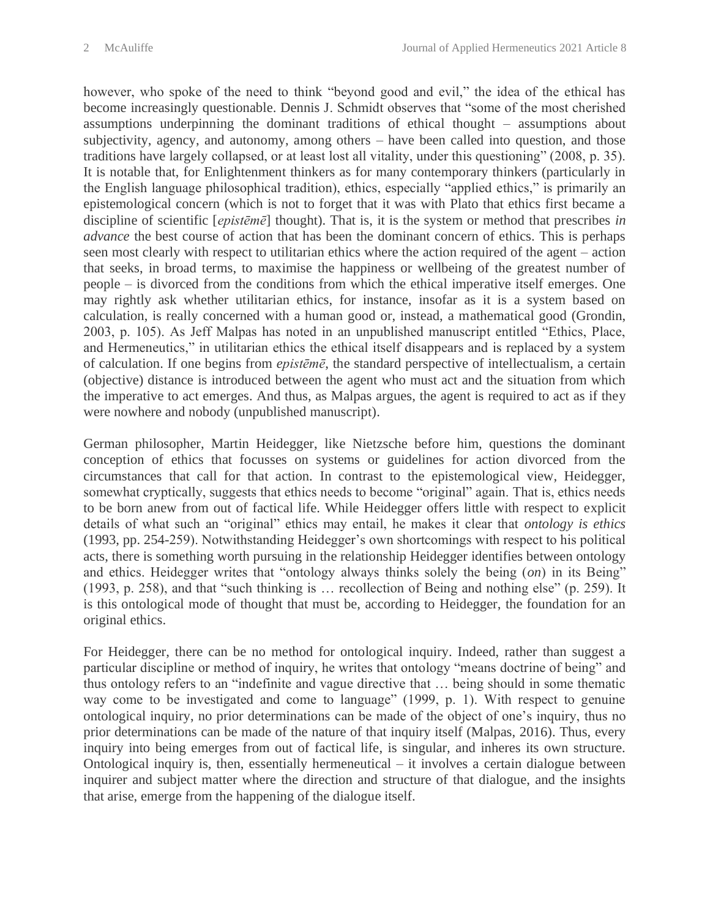however, who spoke of the need to think "beyond good and evil," the idea of the ethical has become increasingly questionable. Dennis J. Schmidt observes that "some of the most cherished assumptions underpinning the dominant traditions of ethical thought – assumptions about subjectivity, agency, and autonomy, among others – have been called into question, and those traditions have largely collapsed, or at least lost all vitality, under this questioning" (2008, p. 35). It is notable that, for Enlightenment thinkers as for many contemporary thinkers (particularly in the English language philosophical tradition), ethics, especially "applied ethics," is primarily an epistemological concern (which is not to forget that it was with Plato that ethics first became a discipline of scientific [*epistēmē*] thought). That is, it is the system or method that prescribes *in advance* the best course of action that has been the dominant concern of ethics. This is perhaps seen most clearly with respect to utilitarian ethics where the action required of the agent – action that seeks, in broad terms, to maximise the happiness or wellbeing of the greatest number of people – is divorced from the conditions from which the ethical imperative itself emerges. One may rightly ask whether utilitarian ethics, for instance, insofar as it is a system based on calculation, is really concerned with a human good or, instead, a mathematical good (Grondin, 2003, p. 105). As Jeff Malpas has noted in an unpublished manuscript entitled "Ethics, Place, and Hermeneutics," in utilitarian ethics the ethical itself disappears and is replaced by a system of calculation. If one begins from *epistēmē*, the standard perspective of intellectualism, a certain (objective) distance is introduced between the agent who must act and the situation from which the imperative to act emerges. And thus, as Malpas argues, the agent is required to act as if they were nowhere and nobody (unpublished manuscript).

German philosopher, Martin Heidegger, like Nietzsche before him, questions the dominant conception of ethics that focusses on systems or guidelines for action divorced from the circumstances that call for that action. In contrast to the epistemological view, Heidegger, somewhat cryptically, suggests that ethics needs to become "original" again. That is, ethics needs to be born anew from out of factical life. While Heidegger offers little with respect to explicit details of what such an "original" ethics may entail, he makes it clear that *ontology is ethics* (1993, pp. 254-259). Notwithstanding Heidegger's own shortcomings with respect to his political acts, there is something worth pursuing in the relationship Heidegger identifies between ontology and ethics. Heidegger writes that "ontology always thinks solely the being (*on*) in its Being" (1993, p. 258), and that "such thinking is … recollection of Being and nothing else" (p. 259). It is this ontological mode of thought that must be, according to Heidegger, the foundation for an original ethics.

For Heidegger, there can be no method for ontological inquiry. Indeed, rather than suggest a particular discipline or method of inquiry, he writes that ontology "means doctrine of being" and thus ontology refers to an "indefinite and vague directive that … being should in some thematic way come to be investigated and come to language" (1999, p. 1). With respect to genuine ontological inquiry, no prior determinations can be made of the object of one's inquiry, thus no prior determinations can be made of the nature of that inquiry itself (Malpas, 2016). Thus, every inquiry into being emerges from out of factical life, is singular, and inheres its own structure. Ontological inquiry is, then, essentially hermeneutical – it involves a certain dialogue between inquirer and subject matter where the direction and structure of that dialogue, and the insights that arise, emerge from the happening of the dialogue itself.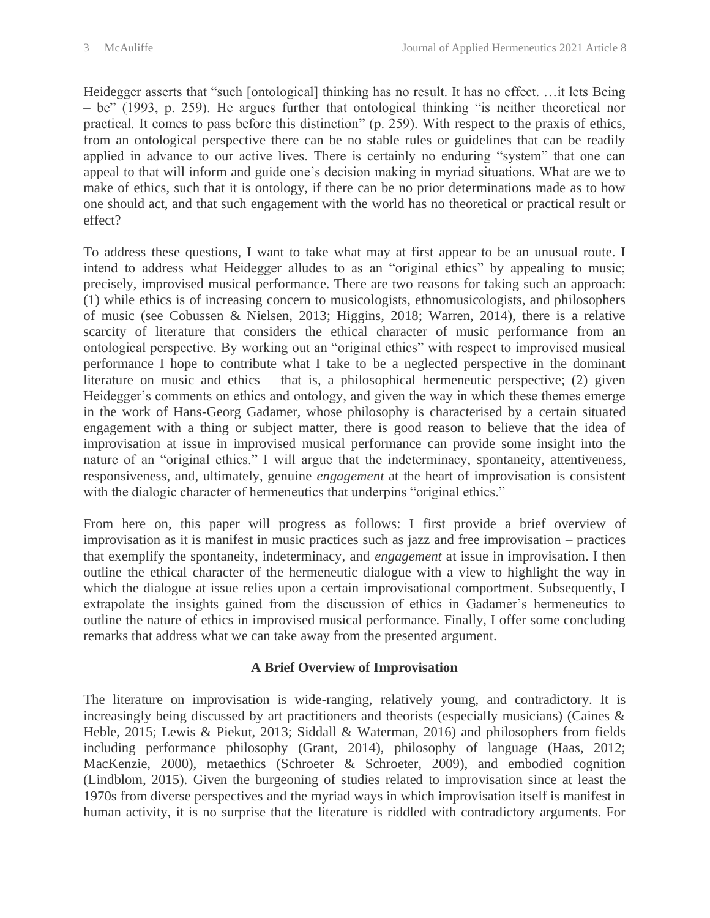Heidegger asserts that "such [ontological] thinking has no result. It has no effect. …it lets Being – be" (1993, p. 259). He argues further that ontological thinking "is neither theoretical nor practical. It comes to pass before this distinction" (p. 259). With respect to the praxis of ethics, from an ontological perspective there can be no stable rules or guidelines that can be readily applied in advance to our active lives. There is certainly no enduring "system" that one can appeal to that will inform and guide one's decision making in myriad situations. What are we to make of ethics, such that it is ontology, if there can be no prior determinations made as to how one should act, and that such engagement with the world has no theoretical or practical result or effect?

To address these questions, I want to take what may at first appear to be an unusual route. I intend to address what Heidegger alludes to as an "original ethics" by appealing to music; precisely, improvised musical performance. There are two reasons for taking such an approach: (1) while ethics is of increasing concern to musicologists, ethnomusicologists, and philosophers of music (see Cobussen & Nielsen, 2013; Higgins, 2018; Warren, 2014), there is a relative scarcity of literature that considers the ethical character of music performance from an ontological perspective. By working out an "original ethics" with respect to improvised musical performance I hope to contribute what I take to be a neglected perspective in the dominant literature on music and ethics – that is, a philosophical hermeneutic perspective; (2) given Heidegger's comments on ethics and ontology, and given the way in which these themes emerge in the work of Hans-Georg Gadamer, whose philosophy is characterised by a certain situated engagement with a thing or subject matter, there is good reason to believe that the idea of improvisation at issue in improvised musical performance can provide some insight into the nature of an "original ethics." I will argue that the indeterminacy, spontaneity, attentiveness, responsiveness, and, ultimately, genuine *engagement* at the heart of improvisation is consistent with the dialogic character of hermeneutics that underpins "original ethics."

From here on, this paper will progress as follows: I first provide a brief overview of improvisation as it is manifest in music practices such as jazz and free improvisation – practices that exemplify the spontaneity, indeterminacy, and *engagement* at issue in improvisation. I then outline the ethical character of the hermeneutic dialogue with a view to highlight the way in which the dialogue at issue relies upon a certain improvisational comportment. Subsequently, I extrapolate the insights gained from the discussion of ethics in Gadamer's hermeneutics to outline the nature of ethics in improvised musical performance. Finally, I offer some concluding remarks that address what we can take away from the presented argument.

#### **A Brief Overview of Improvisation**

The literature on improvisation is wide-ranging, relatively young, and contradictory. It is increasingly being discussed by art practitioners and theorists (especially musicians) (Caines & Heble, 2015; Lewis & Piekut, 2013; Siddall & Waterman, 2016) and philosophers from fields including performance philosophy (Grant, 2014), philosophy of language (Haas, 2012; MacKenzie, 2000), metaethics (Schroeter & Schroeter, 2009), and embodied cognition (Lindblom, 2015). Given the burgeoning of studies related to improvisation since at least the 1970s from diverse perspectives and the myriad ways in which improvisation itself is manifest in human activity, it is no surprise that the literature is riddled with contradictory arguments. For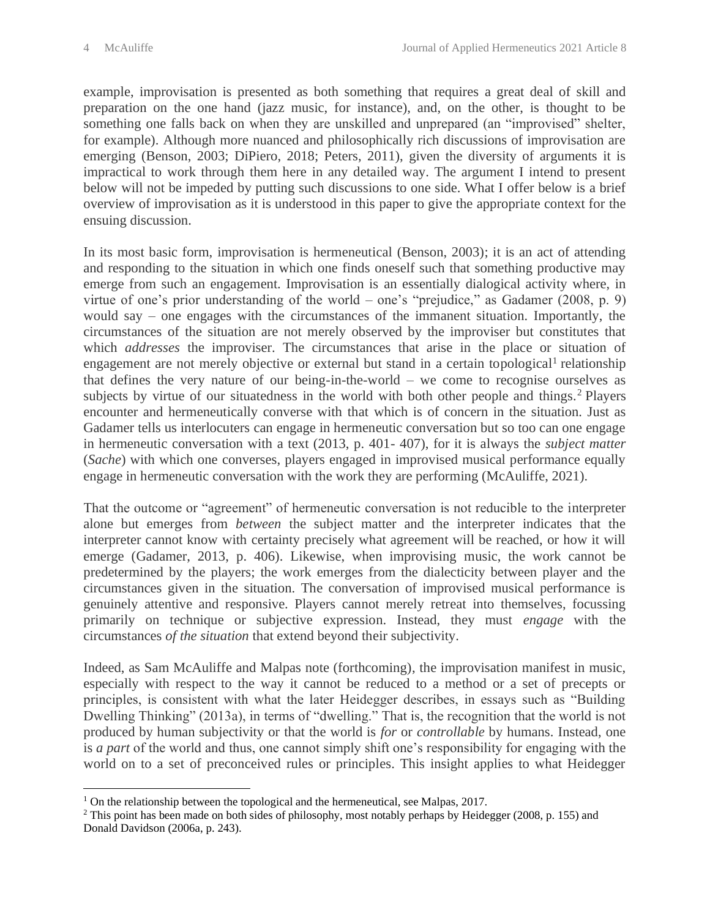example, improvisation is presented as both something that requires a great deal of skill and preparation on the one hand (jazz music, for instance), and, on the other, is thought to be something one falls back on when they are unskilled and unprepared (an "improvised" shelter, for example). Although more nuanced and philosophically rich discussions of improvisation are emerging (Benson, 2003; DiPiero, 2018; Peters, 2011), given the diversity of arguments it is impractical to work through them here in any detailed way. The argument I intend to present below will not be impeded by putting such discussions to one side. What I offer below is a brief overview of improvisation as it is understood in this paper to give the appropriate context for the ensuing discussion.

In its most basic form, improvisation is hermeneutical (Benson, 2003); it is an act of attending and responding to the situation in which one finds oneself such that something productive may emerge from such an engagement. Improvisation is an essentially dialogical activity where, in virtue of one's prior understanding of the world – one's "prejudice," as Gadamer (2008, p. 9) would say – one engages with the circumstances of the immanent situation. Importantly, the circumstances of the situation are not merely observed by the improviser but constitutes that which *addresses* the improviser. The circumstances that arise in the place or situation of engagement are not merely objective or external but stand in a certain topological<sup>1</sup> relationship that defines the very nature of our being-in-the-world – we come to recognise ourselves as subjects by virtue of our situatedness in the world with both other people and things.<sup>2</sup> Players encounter and hermeneutically converse with that which is of concern in the situation. Just as Gadamer tells us interlocuters can engage in hermeneutic conversation but so too can one engage in hermeneutic conversation with a text (2013, p. 401- 407), for it is always the *subject matter* (*Sache*) with which one converses, players engaged in improvised musical performance equally engage in hermeneutic conversation with the work they are performing (McAuliffe, 2021).

That the outcome or "agreement" of hermeneutic conversation is not reducible to the interpreter alone but emerges from *between* the subject matter and the interpreter indicates that the interpreter cannot know with certainty precisely what agreement will be reached, or how it will emerge (Gadamer, 2013, p. 406). Likewise, when improvising music, the work cannot be predetermined by the players; the work emerges from the dialecticity between player and the circumstances given in the situation. The conversation of improvised musical performance is genuinely attentive and responsive. Players cannot merely retreat into themselves, focussing primarily on technique or subjective expression. Instead, they must *engage* with the circumstances *of the situation* that extend beyond their subjectivity.

Indeed, as Sam McAuliffe and Malpas note (forthcoming), the improvisation manifest in music, especially with respect to the way it cannot be reduced to a method or a set of precepts or principles, is consistent with what the later Heidegger describes, in essays such as "Building Dwelling Thinking" (2013a), in terms of "dwelling." That is, the recognition that the world is not produced by human subjectivity or that the world is *for* or *controllable* by humans. Instead, one is *a part* of the world and thus, one cannot simply shift one's responsibility for engaging with the world on to a set of preconceived rules or principles. This insight applies to what Heidegger

<sup>&</sup>lt;sup>1</sup> On the relationship between the topological and the hermeneutical, see Malpas, 2017.

<sup>2</sup> This point has been made on both sides of philosophy, most notably perhaps by Heidegger (2008, p. 155) and Donald Davidson (2006a, p. 243).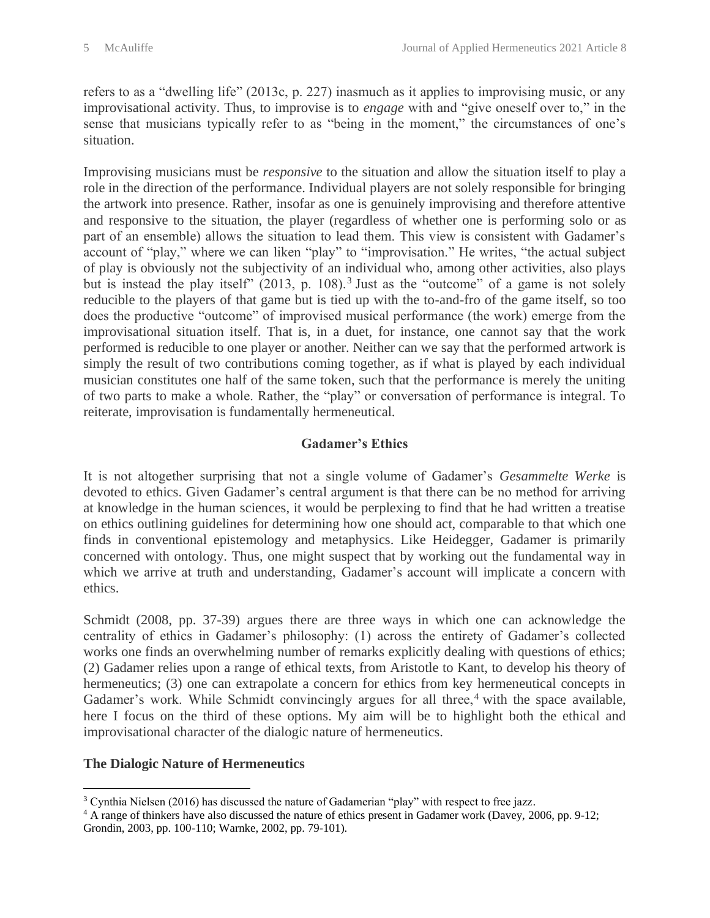refers to as a "dwelling life" (2013c, p. 227) inasmuch as it applies to improvising music, or any improvisational activity. Thus, to improvise is to *engage* with and "give oneself over to," in the sense that musicians typically refer to as "being in the moment," the circumstances of one's situation.

Improvising musicians must be *responsive* to the situation and allow the situation itself to play a role in the direction of the performance. Individual players are not solely responsible for bringing the artwork into presence. Rather, insofar as one is genuinely improvising and therefore attentive and responsive to the situation, the player (regardless of whether one is performing solo or as part of an ensemble) allows the situation to lead them. This view is consistent with Gadamer's account of "play," where we can liken "play" to "improvisation." He writes, "the actual subject of play is obviously not the subjectivity of an individual who, among other activities, also plays but is instead the play itself" (2013, p. 108).<sup>3</sup> Just as the "outcome" of a game is not solely reducible to the players of that game but is tied up with the to-and-fro of the game itself, so too does the productive "outcome" of improvised musical performance (the work) emerge from the improvisational situation itself. That is, in a duet, for instance, one cannot say that the work performed is reducible to one player or another. Neither can we say that the performed artwork is simply the result of two contributions coming together, as if what is played by each individual musician constitutes one half of the same token, such that the performance is merely the uniting of two parts to make a whole. Rather, the "play" or conversation of performance is integral. To reiterate, improvisation is fundamentally hermeneutical.

# **Gadamer's Ethics**

It is not altogether surprising that not a single volume of Gadamer's *Gesammelte Werke* is devoted to ethics. Given Gadamer's central argument is that there can be no method for arriving at knowledge in the human sciences, it would be perplexing to find that he had written a treatise on ethics outlining guidelines for determining how one should act, comparable to that which one finds in conventional epistemology and metaphysics. Like Heidegger, Gadamer is primarily concerned with ontology. Thus, one might suspect that by working out the fundamental way in which we arrive at truth and understanding, Gadamer's account will implicate a concern with ethics.

Schmidt (2008, pp. 37-39) argues there are three ways in which one can acknowledge the centrality of ethics in Gadamer's philosophy: (1) across the entirety of Gadamer's collected works one finds an overwhelming number of remarks explicitly dealing with questions of ethics; (2) Gadamer relies upon a range of ethical texts, from Aristotle to Kant, to develop his theory of hermeneutics; (3) one can extrapolate a concern for ethics from key hermeneutical concepts in Gadamer's work. While Schmidt convincingly argues for all three,<sup>4</sup> with the space available, here I focus on the third of these options. My aim will be to highlight both the ethical and improvisational character of the dialogic nature of hermeneutics.

#### **The Dialogic Nature of Hermeneutics**

<sup>&</sup>lt;sup>3</sup> Cynthia Nielsen (2016) has discussed the nature of Gadamerian "play" with respect to free jazz.

<sup>4</sup> A range of thinkers have also discussed the nature of ethics present in Gadamer work (Davey, 2006, pp. 9-12; Grondin, 2003, pp. 100-110; Warnke, 2002, pp. 79-101).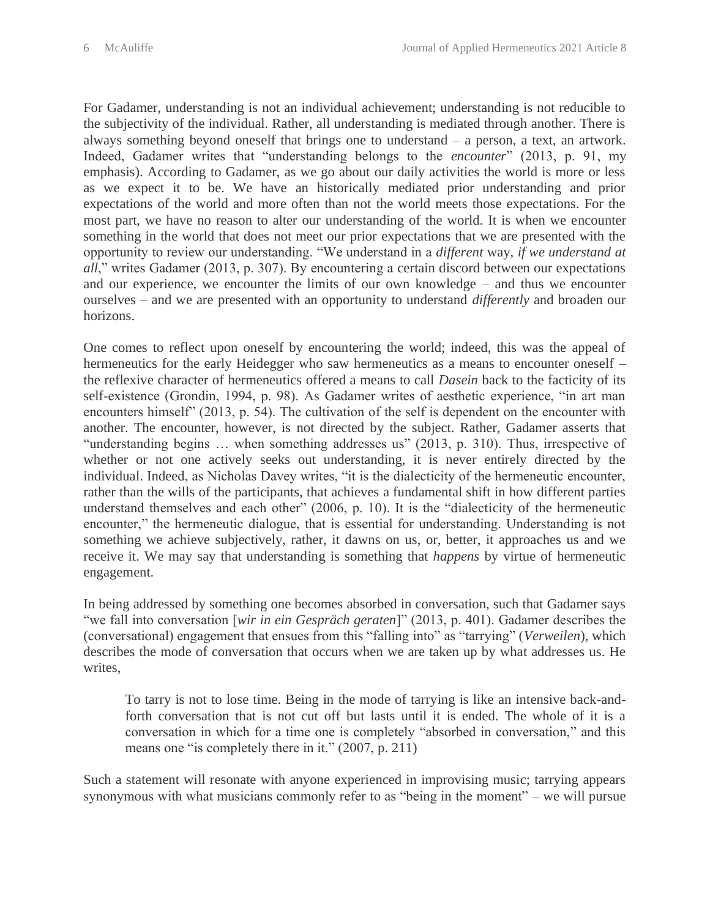For Gadamer, understanding is not an individual achievement; understanding is not reducible to the subjectivity of the individual. Rather, all understanding is mediated through another. There is always something beyond oneself that brings one to understand – a person, a text, an artwork. Indeed, Gadamer writes that "understanding belongs to the *encounter*" (2013, p. 91, my emphasis). According to Gadamer, as we go about our daily activities the world is more or less as we expect it to be. We have an historically mediated prior understanding and prior expectations of the world and more often than not the world meets those expectations. For the most part, we have no reason to alter our understanding of the world. It is when we encounter something in the world that does not meet our prior expectations that we are presented with the opportunity to review our understanding. "We understand in a *different* way, *if we understand at all*," writes Gadamer (2013, p. 307). By encountering a certain discord between our expectations and our experience, we encounter the limits of our own knowledge – and thus we encounter ourselves – and we are presented with an opportunity to understand *differently* and broaden our horizons.

One comes to reflect upon oneself by encountering the world; indeed, this was the appeal of hermeneutics for the early Heidegger who saw hermeneutics as a means to encounter oneself – the reflexive character of hermeneutics offered a means to call *Dasein* back to the facticity of its self-existence (Grondin, 1994, p. 98). As Gadamer writes of aesthetic experience, "in art man encounters himself" (2013, p. 54). The cultivation of the self is dependent on the encounter with another. The encounter, however, is not directed by the subject. Rather, Gadamer asserts that "understanding begins … when something addresses us" (2013, p. 310). Thus, irrespective of whether or not one actively seeks out understanding, it is never entirely directed by the individual. Indeed, as Nicholas Davey writes, "it is the dialecticity of the hermeneutic encounter, rather than the wills of the participants, that achieves a fundamental shift in how different parties understand themselves and each other" (2006, p. 10). It is the "dialecticity of the hermeneutic encounter," the hermeneutic dialogue, that is essential for understanding. Understanding is not something we achieve subjectively, rather, it dawns on us, or, better, it approaches us and we receive it. We may say that understanding is something that *happens* by virtue of hermeneutic engagement.

In being addressed by something one becomes absorbed in conversation, such that Gadamer says "we fall into conversation [*wir in ein Gespräch geraten*]" (2013, p. 401). Gadamer describes the (conversational) engagement that ensues from this "falling into" as "tarrying" (*Verweilen*), which describes the mode of conversation that occurs when we are taken up by what addresses us. He writes,

To tarry is not to lose time. Being in the mode of tarrying is like an intensive back-andforth conversation that is not cut off but lasts until it is ended. The whole of it is a conversation in which for a time one is completely "absorbed in conversation," and this means one "is completely there in it." (2007, p. 211)

Such a statement will resonate with anyone experienced in improvising music; tarrying appears synonymous with what musicians commonly refer to as "being in the moment" – we will pursue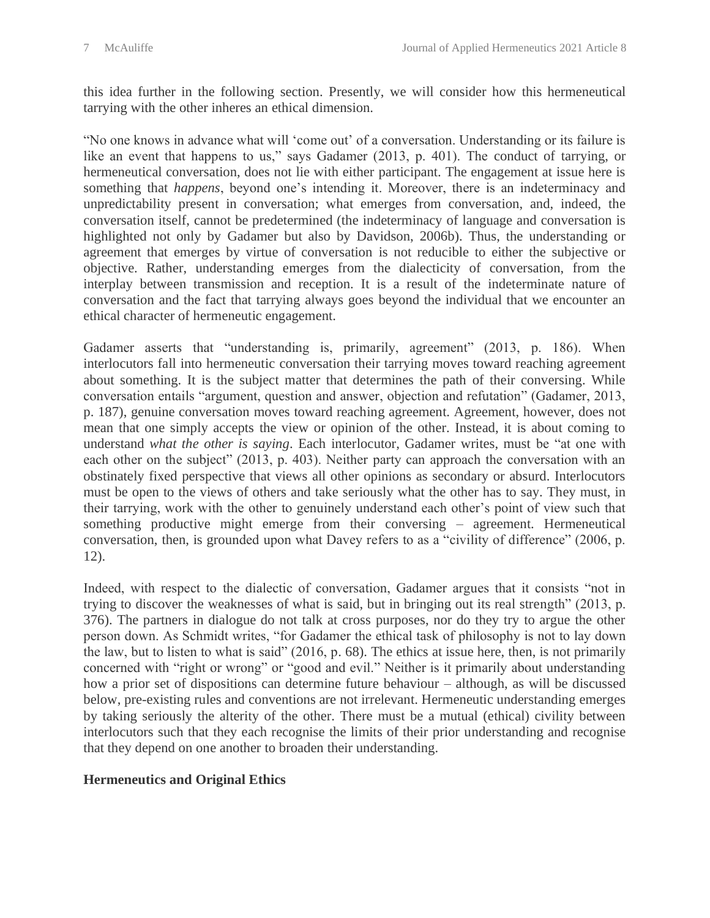this idea further in the following section. Presently, we will consider how this hermeneutical tarrying with the other inheres an ethical dimension.

"No one knows in advance what will 'come out' of a conversation. Understanding or its failure is like an event that happens to us," says Gadamer (2013, p. 401). The conduct of tarrying, or hermeneutical conversation, does not lie with either participant. The engagement at issue here is something that *happens*, beyond one's intending it. Moreover, there is an indeterminacy and unpredictability present in conversation; what emerges from conversation, and, indeed, the conversation itself, cannot be predetermined (the indeterminacy of language and conversation is highlighted not only by Gadamer but also by Davidson, 2006b). Thus, the understanding or agreement that emerges by virtue of conversation is not reducible to either the subjective or objective. Rather, understanding emerges from the dialecticity of conversation, from the interplay between transmission and reception. It is a result of the indeterminate nature of conversation and the fact that tarrying always goes beyond the individual that we encounter an ethical character of hermeneutic engagement.

Gadamer asserts that "understanding is, primarily, agreement" (2013, p. 186). When interlocutors fall into hermeneutic conversation their tarrying moves toward reaching agreement about something. It is the subject matter that determines the path of their conversing. While conversation entails "argument, question and answer, objection and refutation" (Gadamer, 2013, p. 187), genuine conversation moves toward reaching agreement. Agreement, however, does not mean that one simply accepts the view or opinion of the other. Instead, it is about coming to understand *what the other is saying*. Each interlocutor, Gadamer writes, must be "at one with each other on the subject" (2013, p. 403). Neither party can approach the conversation with an obstinately fixed perspective that views all other opinions as secondary or absurd. Interlocutors must be open to the views of others and take seriously what the other has to say. They must, in their tarrying, work with the other to genuinely understand each other's point of view such that something productive might emerge from their conversing – agreement. Hermeneutical conversation, then, is grounded upon what Davey refers to as a "civility of difference" (2006, p. 12).

Indeed, with respect to the dialectic of conversation, Gadamer argues that it consists "not in trying to discover the weaknesses of what is said, but in bringing out its real strength" (2013, p. 376). The partners in dialogue do not talk at cross purposes, nor do they try to argue the other person down. As Schmidt writes, "for Gadamer the ethical task of philosophy is not to lay down the law, but to listen to what is said" (2016, p. 68). The ethics at issue here, then, is not primarily concerned with "right or wrong" or "good and evil." Neither is it primarily about understanding how a prior set of dispositions can determine future behaviour – although, as will be discussed below, pre-existing rules and conventions are not irrelevant. Hermeneutic understanding emerges by taking seriously the alterity of the other. There must be a mutual (ethical) civility between interlocutors such that they each recognise the limits of their prior understanding and recognise that they depend on one another to broaden their understanding.

#### **Hermeneutics and Original Ethics**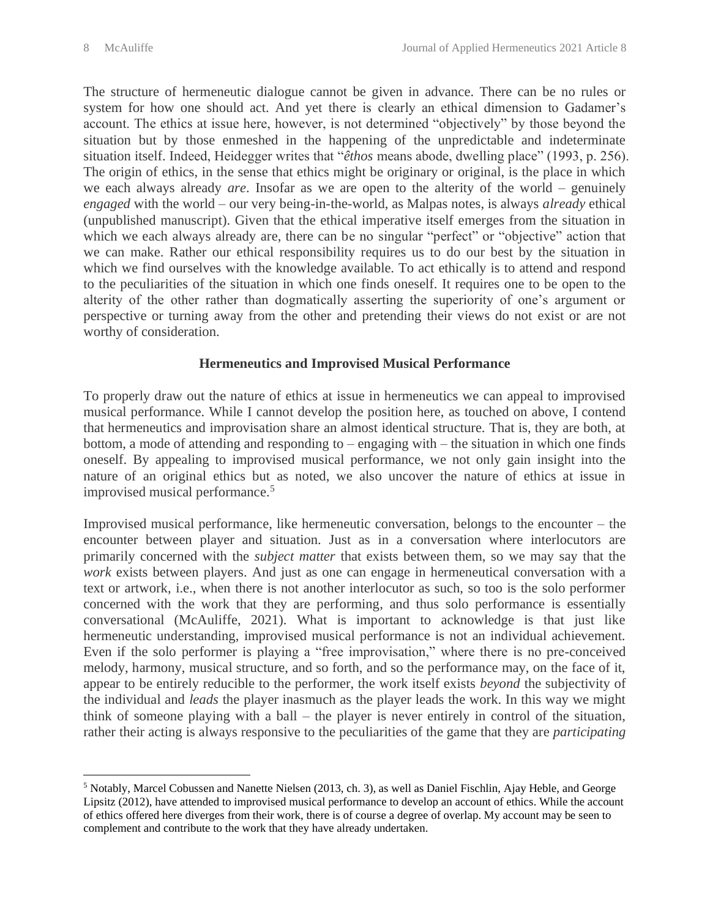The structure of hermeneutic dialogue cannot be given in advance. There can be no rules or system for how one should act. And yet there is clearly an ethical dimension to Gadamer's account. The ethics at issue here, however, is not determined "objectively" by those beyond the situation but by those enmeshed in the happening of the unpredictable and indeterminate situation itself. Indeed, Heidegger writes that "*êthos* means abode, dwelling place" (1993, p. 256). The origin of ethics, in the sense that ethics might be originary or original, is the place in which we each always already *are*. Insofar as we are open to the alterity of the world – genuinely *engaged* with the world – our very being-in-the-world, as Malpas notes, is always *already* ethical (unpublished manuscript). Given that the ethical imperative itself emerges from the situation in which we each always already are, there can be no singular "perfect" or "objective" action that we can make. Rather our ethical responsibility requires us to do our best by the situation in which we find ourselves with the knowledge available. To act ethically is to attend and respond to the peculiarities of the situation in which one finds oneself. It requires one to be open to the alterity of the other rather than dogmatically asserting the superiority of one's argument or perspective or turning away from the other and pretending their views do not exist or are not worthy of consideration.

#### **Hermeneutics and Improvised Musical Performance**

To properly draw out the nature of ethics at issue in hermeneutics we can appeal to improvised musical performance. While I cannot develop the position here, as touched on above, I contend that hermeneutics and improvisation share an almost identical structure. That is, they are both, at bottom, a mode of attending and responding to – engaging with – the situation in which one finds oneself. By appealing to improvised musical performance, we not only gain insight into the nature of an original ethics but as noted, we also uncover the nature of ethics at issue in improvised musical performance.<sup>5</sup>

Improvised musical performance, like hermeneutic conversation, belongs to the encounter – the encounter between player and situation. Just as in a conversation where interlocutors are primarily concerned with the *subject matter* that exists between them, so we may say that the *work* exists between players. And just as one can engage in hermeneutical conversation with a text or artwork, i.e., when there is not another interlocutor as such, so too is the solo performer concerned with the work that they are performing, and thus solo performance is essentially conversational (McAuliffe, 2021). What is important to acknowledge is that just like hermeneutic understanding, improvised musical performance is not an individual achievement. Even if the solo performer is playing a "free improvisation," where there is no pre-conceived melody, harmony, musical structure, and so forth, and so the performance may, on the face of it, appear to be entirely reducible to the performer, the work itself exists *beyond* the subjectivity of the individual and *leads* the player inasmuch as the player leads the work. In this way we might think of someone playing with a ball – the player is never entirely in control of the situation, rather their acting is always responsive to the peculiarities of the game that they are *participating* 

<sup>5</sup> Notably, Marcel Cobussen and Nanette Nielsen (2013, ch. 3), as well as Daniel Fischlin, Ajay Heble, and George Lipsitz (2012), have attended to improvised musical performance to develop an account of ethics. While the account of ethics offered here diverges from their work, there is of course a degree of overlap. My account may be seen to complement and contribute to the work that they have already undertaken.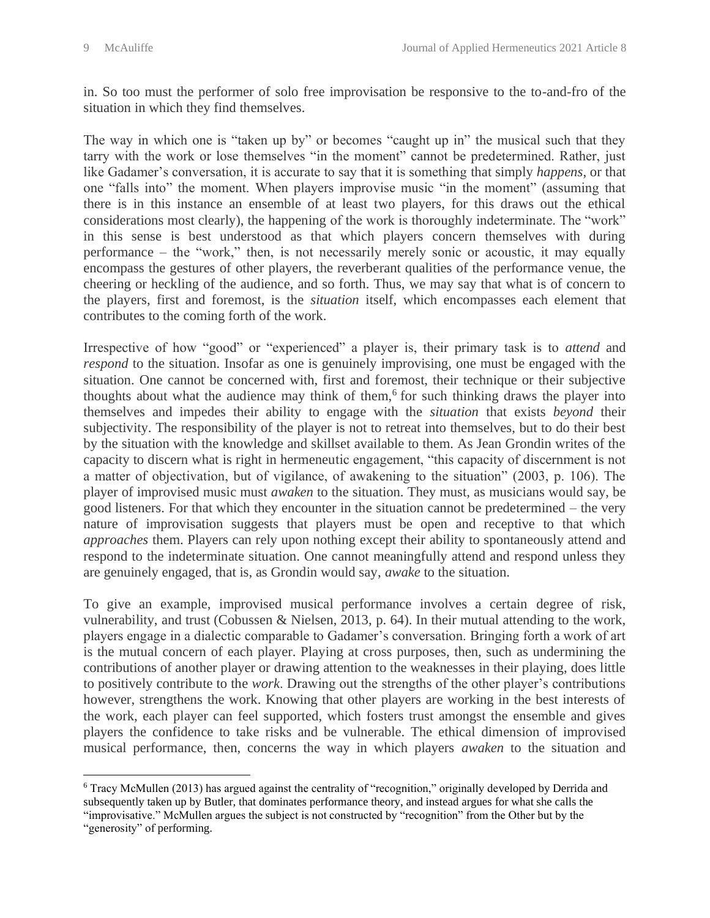in. So too must the performer of solo free improvisation be responsive to the to-and-fro of the situation in which they find themselves.

The way in which one is "taken up by" or becomes "caught up in" the musical such that they tarry with the work or lose themselves "in the moment" cannot be predetermined. Rather, just like Gadamer's conversation, it is accurate to say that it is something that simply *happens*, or that one "falls into" the moment. When players improvise music "in the moment" (assuming that there is in this instance an ensemble of at least two players, for this draws out the ethical considerations most clearly), the happening of the work is thoroughly indeterminate. The "work" in this sense is best understood as that which players concern themselves with during performance – the "work," then, is not necessarily merely sonic or acoustic, it may equally encompass the gestures of other players, the reverberant qualities of the performance venue, the cheering or heckling of the audience, and so forth. Thus, we may say that what is of concern to the players, first and foremost, is the *situation* itself, which encompasses each element that contributes to the coming forth of the work.

Irrespective of how "good" or "experienced" a player is, their primary task is to *attend* and *respond* to the situation. Insofar as one is genuinely improvising, one must be engaged with the situation. One cannot be concerned with, first and foremost, their technique or their subjective thoughts about what the audience may think of them,<sup>6</sup> for such thinking draws the player into themselves and impedes their ability to engage with the *situation* that exists *beyond* their subjectivity. The responsibility of the player is not to retreat into themselves, but to do their best by the situation with the knowledge and skillset available to them. As Jean Grondin writes of the capacity to discern what is right in hermeneutic engagement, "this capacity of discernment is not a matter of objectivation, but of vigilance, of awakening to the situation" (2003, p. 106). The player of improvised music must *awaken* to the situation. They must, as musicians would say, be good listeners. For that which they encounter in the situation cannot be predetermined – the very nature of improvisation suggests that players must be open and receptive to that which *approaches* them. Players can rely upon nothing except their ability to spontaneously attend and respond to the indeterminate situation. One cannot meaningfully attend and respond unless they are genuinely engaged, that is, as Grondin would say, *awake* to the situation.

To give an example, improvised musical performance involves a certain degree of risk, vulnerability, and trust (Cobussen & Nielsen, 2013, p. 64). In their mutual attending to the work, players engage in a dialectic comparable to Gadamer's conversation. Bringing forth a work of art is the mutual concern of each player. Playing at cross purposes, then, such as undermining the contributions of another player or drawing attention to the weaknesses in their playing, does little to positively contribute to the *work*. Drawing out the strengths of the other player's contributions however, strengthens the work. Knowing that other players are working in the best interests of the work, each player can feel supported, which fosters trust amongst the ensemble and gives players the confidence to take risks and be vulnerable. The ethical dimension of improvised musical performance, then, concerns the way in which players *awaken* to the situation and

<sup>6</sup> Tracy McMullen (2013) has argued against the centrality of "recognition," originally developed by Derrida and subsequently taken up by Butler, that dominates performance theory, and instead argues for what she calls the "improvisative." McMullen argues the subject is not constructed by "recognition" from the Other but by the "generosity" of performing.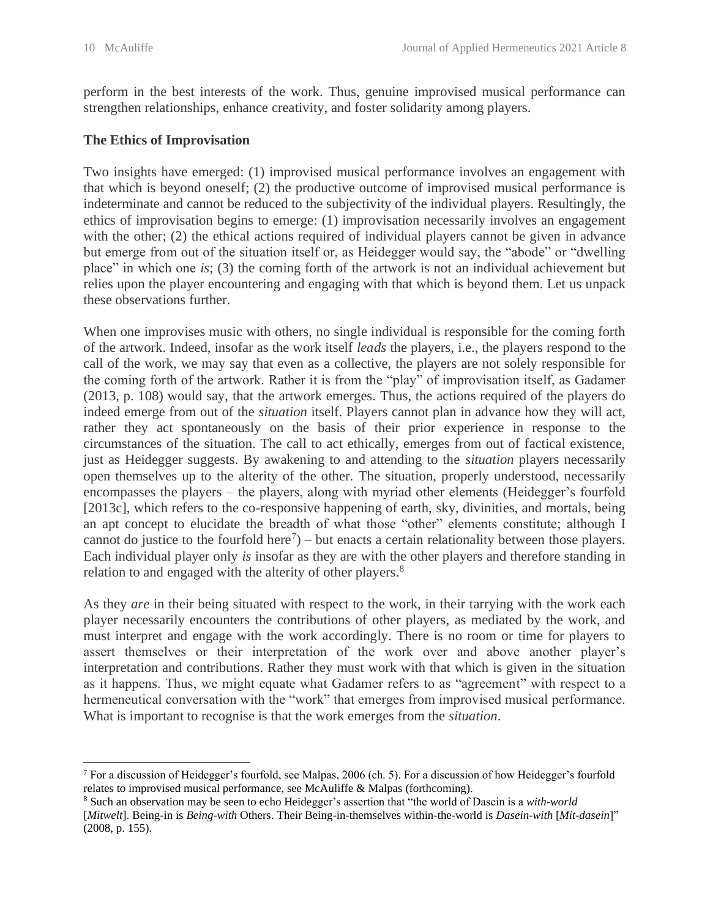perform in the best interests of the work. Thus, genuine improvised musical performance can strengthen relationships, enhance creativity, and foster solidarity among players.

#### **The Ethics of Improvisation**

Two insights have emerged: (1) improvised musical performance involves an engagement with that which is beyond oneself; (2) the productive outcome of improvised musical performance is indeterminate and cannot be reduced to the subjectivity of the individual players. Resultingly, the ethics of improvisation begins to emerge: (1) improvisation necessarily involves an engagement with the other; (2) the ethical actions required of individual players cannot be given in advance but emerge from out of the situation itself or, as Heidegger would say, the "abode" or "dwelling place" in which one *is*; (3) the coming forth of the artwork is not an individual achievement but relies upon the player encountering and engaging with that which is beyond them. Let us unpack these observations further.

When one improvises music with others, no single individual is responsible for the coming forth of the artwork. Indeed, insofar as the work itself *leads* the players, i.e., the players respond to the call of the work, we may say that even as a collective, the players are not solely responsible for the coming forth of the artwork. Rather it is from the "play" of improvisation itself, as Gadamer (2013, p. 108) would say, that the artwork emerges. Thus, the actions required of the players do indeed emerge from out of the *situation* itself. Players cannot plan in advance how they will act, rather they act spontaneously on the basis of their prior experience in response to the circumstances of the situation. The call to act ethically, emerges from out of factical existence, just as Heidegger suggests. By awakening to and attending to the *situation* players necessarily open themselves up to the alterity of the other. The situation, properly understood, necessarily encompasses the players – the players, along with myriad other elements (Heidegger's fourfold [2013c], which refers to the co-responsive happening of earth, sky, divinities, and mortals, being an apt concept to elucidate the breadth of what those "other" elements constitute; although I cannot do justice to the fourfold here<sup>7</sup> $)$  – but enacts a certain relationality between those players. Each individual player only *is* insofar as they are with the other players and therefore standing in relation to and engaged with the alterity of other players.<sup>8</sup>

As they *are* in their being situated with respect to the work, in their tarrying with the work each player necessarily encounters the contributions of other players, as mediated by the work, and must interpret and engage with the work accordingly. There is no room or time for players to assert themselves or their interpretation of the work over and above another player's interpretation and contributions. Rather they must work with that which is given in the situation as it happens. Thus, we might equate what Gadamer refers to as "agreement" with respect to a hermeneutical conversation with the "work" that emerges from improvised musical performance. What is important to recognise is that the work emerges from the *situation*.

<sup>7</sup> For a discussion of Heidegger's fourfold, see Malpas, 2006 (ch. 5). For a discussion of how Heidegger's fourfold relates to improvised musical performance, see McAuliffe & Malpas (forthcoming).

<sup>8</sup> Such an observation may be seen to echo Heidegger's assertion that "the world of Dasein is a *with-world* [*Mitwelt*]. Being-in is *Being-with* Others. Their Being-in-themselves within-the-world is *Dasein-with* [*Mit-dasein*]" (2008, p. 155).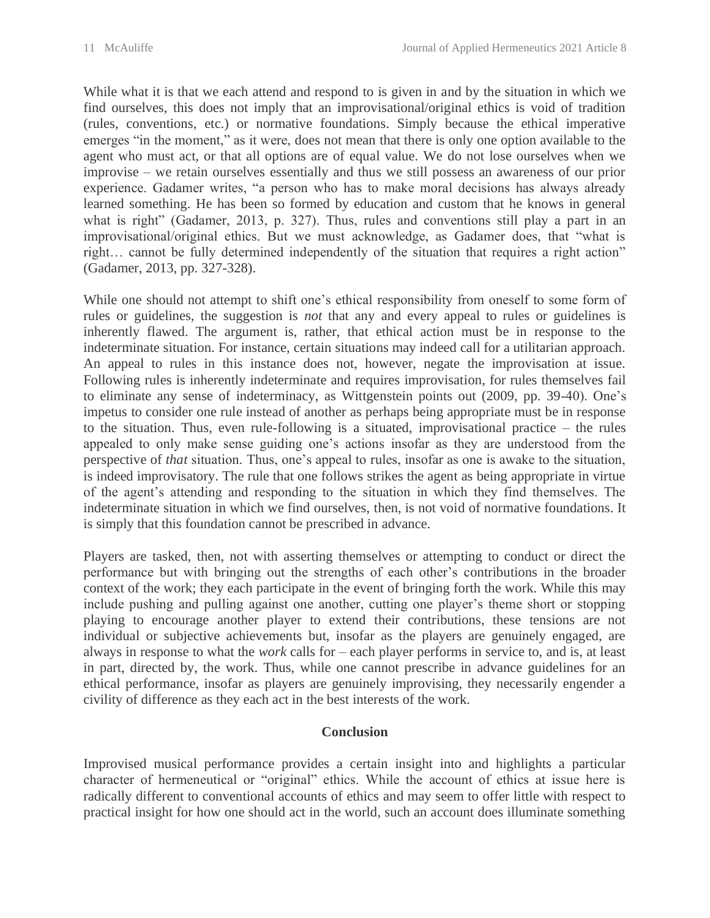While what it is that we each attend and respond to is given in and by the situation in which we find ourselves, this does not imply that an improvisational/original ethics is void of tradition (rules, conventions, etc.) or normative foundations. Simply because the ethical imperative emerges "in the moment," as it were, does not mean that there is only one option available to the agent who must act, or that all options are of equal value. We do not lose ourselves when we improvise – we retain ourselves essentially and thus we still possess an awareness of our prior experience. Gadamer writes, "a person who has to make moral decisions has always already learned something. He has been so formed by education and custom that he knows in general what is right" (Gadamer, 2013, p. 327). Thus, rules and conventions still play a part in an improvisational/original ethics. But we must acknowledge, as Gadamer does, that "what is right… cannot be fully determined independently of the situation that requires a right action" (Gadamer, 2013, pp. 327-328).

While one should not attempt to shift one's ethical responsibility from oneself to some form of rules or guidelines, the suggestion is *not* that any and every appeal to rules or guidelines is inherently flawed. The argument is, rather, that ethical action must be in response to the indeterminate situation. For instance, certain situations may indeed call for a utilitarian approach. An appeal to rules in this instance does not, however, negate the improvisation at issue. Following rules is inherently indeterminate and requires improvisation, for rules themselves fail to eliminate any sense of indeterminacy, as Wittgenstein points out (2009, pp. 39-40). One's impetus to consider one rule instead of another as perhaps being appropriate must be in response to the situation. Thus, even rule-following is a situated, improvisational practice – the rules appealed to only make sense guiding one's actions insofar as they are understood from the perspective of *that* situation. Thus, one's appeal to rules, insofar as one is awake to the situation, is indeed improvisatory. The rule that one follows strikes the agent as being appropriate in virtue of the agent's attending and responding to the situation in which they find themselves. The indeterminate situation in which we find ourselves, then, is not void of normative foundations. It is simply that this foundation cannot be prescribed in advance.

Players are tasked, then, not with asserting themselves or attempting to conduct or direct the performance but with bringing out the strengths of each other's contributions in the broader context of the work; they each participate in the event of bringing forth the work. While this may include pushing and pulling against one another, cutting one player's theme short or stopping playing to encourage another player to extend their contributions, these tensions are not individual or subjective achievements but, insofar as the players are genuinely engaged, are always in response to what the *work* calls for – each player performs in service to, and is, at least in part, directed by, the work. Thus, while one cannot prescribe in advance guidelines for an ethical performance, insofar as players are genuinely improvising, they necessarily engender a civility of difference as they each act in the best interests of the work.

#### **Conclusion**

Improvised musical performance provides a certain insight into and highlights a particular character of hermeneutical or "original" ethics. While the account of ethics at issue here is radically different to conventional accounts of ethics and may seem to offer little with respect to practical insight for how one should act in the world, such an account does illuminate something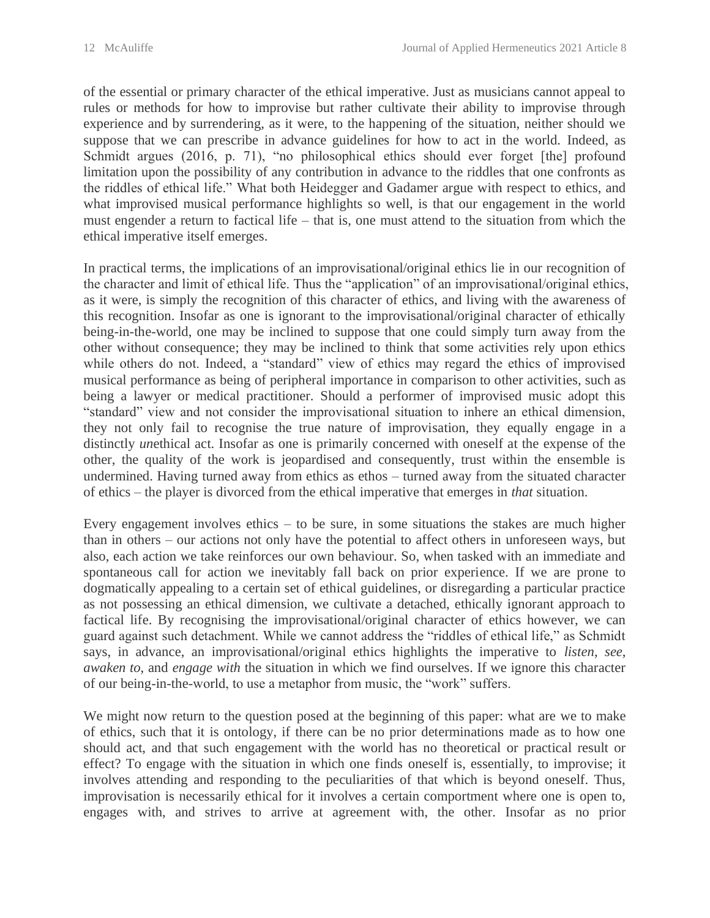of the essential or primary character of the ethical imperative. Just as musicians cannot appeal to rules or methods for how to improvise but rather cultivate their ability to improvise through experience and by surrendering, as it were, to the happening of the situation, neither should we suppose that we can prescribe in advance guidelines for how to act in the world. Indeed, as Schmidt argues (2016, p. 71), "no philosophical ethics should ever forget [the] profound limitation upon the possibility of any contribution in advance to the riddles that one confronts as the riddles of ethical life." What both Heidegger and Gadamer argue with respect to ethics, and what improvised musical performance highlights so well, is that our engagement in the world must engender a return to factical life – that is, one must attend to the situation from which the ethical imperative itself emerges.

In practical terms, the implications of an improvisational/original ethics lie in our recognition of the character and limit of ethical life. Thus the "application" of an improvisational/original ethics, as it were, is simply the recognition of this character of ethics, and living with the awareness of this recognition. Insofar as one is ignorant to the improvisational/original character of ethically being-in-the-world, one may be inclined to suppose that one could simply turn away from the other without consequence; they may be inclined to think that some activities rely upon ethics while others do not. Indeed, a "standard" view of ethics may regard the ethics of improvised musical performance as being of peripheral importance in comparison to other activities, such as being a lawyer or medical practitioner. Should a performer of improvised music adopt this "standard" view and not consider the improvisational situation to inhere an ethical dimension, they not only fail to recognise the true nature of improvisation, they equally engage in a distinctly *un*ethical act. Insofar as one is primarily concerned with oneself at the expense of the other, the quality of the work is jeopardised and consequently, trust within the ensemble is undermined. Having turned away from ethics as ethos – turned away from the situated character of ethics – the player is divorced from the ethical imperative that emerges in *that* situation.

Every engagement involves ethics – to be sure, in some situations the stakes are much higher than in others – our actions not only have the potential to affect others in unforeseen ways, but also, each action we take reinforces our own behaviour. So, when tasked with an immediate and spontaneous call for action we inevitably fall back on prior experience. If we are prone to dogmatically appealing to a certain set of ethical guidelines, or disregarding a particular practice as not possessing an ethical dimension, we cultivate a detached, ethically ignorant approach to factical life. By recognising the improvisational/original character of ethics however, we can guard against such detachment. While we cannot address the "riddles of ethical life," as Schmidt says, in advance, an improvisational/original ethics highlights the imperative to *listen*, *see*, *awaken to*, and *engage with* the situation in which we find ourselves. If we ignore this character of our being-in-the-world, to use a metaphor from music, the "work" suffers.

We might now return to the question posed at the beginning of this paper: what are we to make of ethics, such that it is ontology, if there can be no prior determinations made as to how one should act, and that such engagement with the world has no theoretical or practical result or effect? To engage with the situation in which one finds oneself is, essentially, to improvise; it involves attending and responding to the peculiarities of that which is beyond oneself. Thus, improvisation is necessarily ethical for it involves a certain comportment where one is open to, engages with, and strives to arrive at agreement with, the other. Insofar as no prior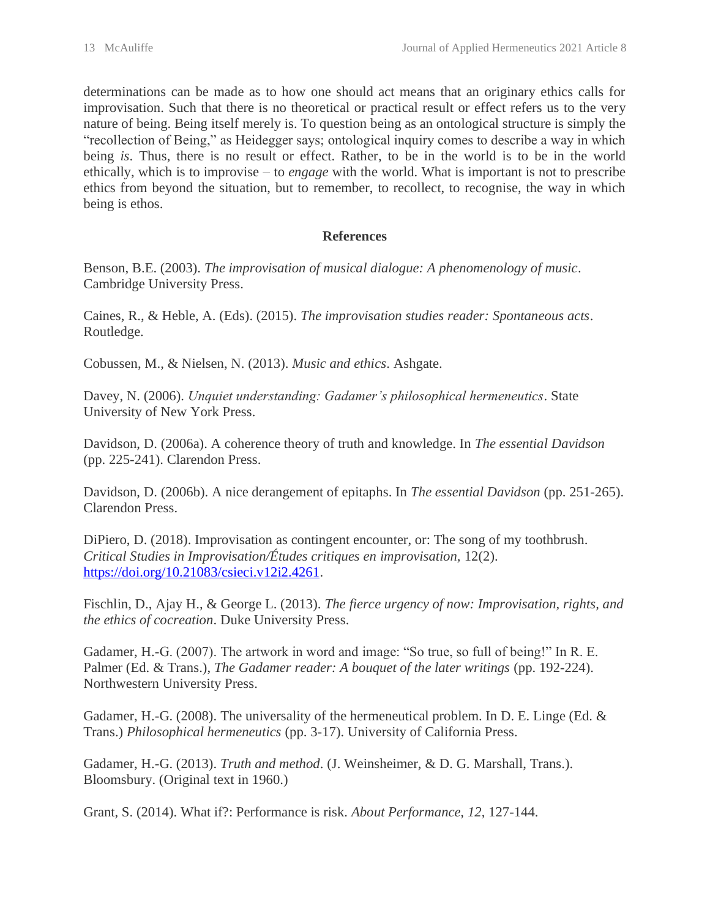determinations can be made as to how one should act means that an originary ethics calls for improvisation. Such that there is no theoretical or practical result or effect refers us to the very nature of being. Being itself merely is. To question being as an ontological structure is simply the "recollection of Being," as Heidegger says; ontological inquiry comes to describe a way in which being *is*. Thus, there is no result or effect. Rather, to be in the world is to be in the world ethically, which is to improvise – to *engage* with the world. What is important is not to prescribe ethics from beyond the situation, but to remember, to recollect, to recognise, the way in which being is ethos.

# **References**

Benson, B.E. (2003). *The improvisation of musical dialogue: A phenomenology of music*. Cambridge University Press.

Caines, R., & Heble, A. (Eds). (2015). *The improvisation studies reader: Spontaneous acts*. Routledge.

Cobussen, M., & Nielsen, N. (2013). *Music and ethics*. Ashgate.

Davey, N. (2006). *Unquiet understanding: Gadamer's philosophical hermeneutics*. State University of New York Press.

Davidson, D. (2006a). A coherence theory of truth and knowledge. In *The essential Davidson* (pp. 225-241). Clarendon Press.

Davidson, D. (2006b). A nice derangement of epitaphs. In *The essential Davidson* (pp. 251-265). Clarendon Press.

DiPiero, D. (2018). Improvisation as contingent encounter, or: The song of my toothbrush. *Critical Studies in Improvisation/Études critiques en improvisation,* 12(2). [https://doi.org/10.21083/csieci.v12i2.4261.](https://doi.org/10.21083/csieci.v12i2.4261)

Fischlin, D., Ajay H., & George L. (2013). *The fierce urgency of now: Improvisation, rights, and the ethics of cocreation*. Duke University Press.

Gadamer, H.-G. (2007). The artwork in word and image: "So true, so full of being!" In R. E. Palmer (Ed. & Trans.), *The Gadamer reader: A bouquet of the later writings* (pp. 192-224). Northwestern University Press.

Gadamer, H.-G. (2008). The universality of the hermeneutical problem. In D. E. Linge (Ed. & Trans.) *Philosophical hermeneutics* (pp. 3-17). University of California Press.

Gadamer, H.-G. (2013). *Truth and method*. (J. Weinsheimer, & D. G. Marshall, Trans.). Bloomsbury. (Original text in 1960.)

Grant, S. (2014). What if?: Performance is risk. *About Performance, 12*, 127-144.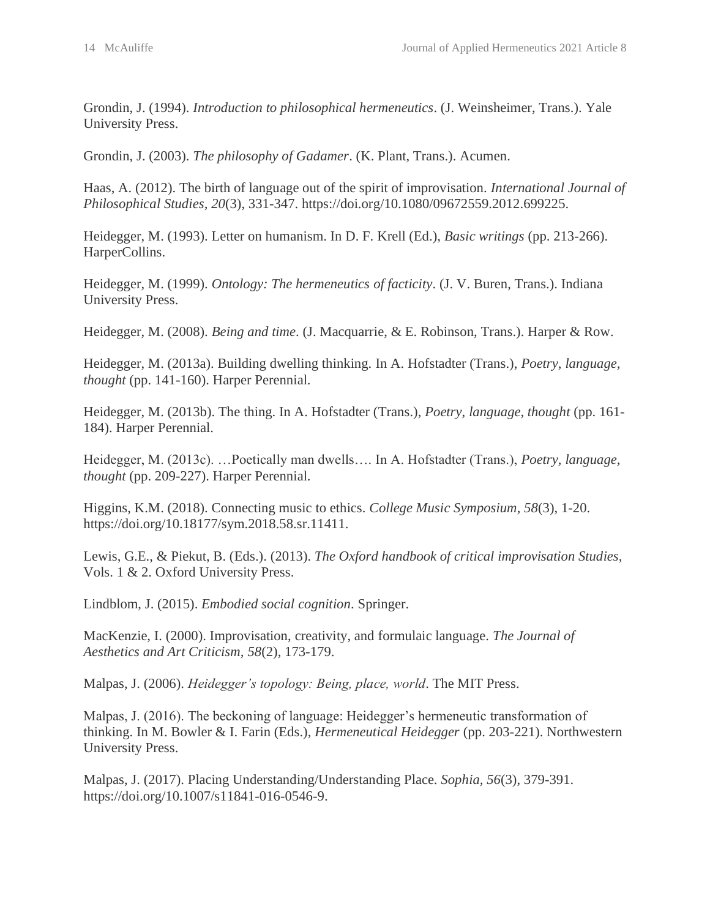Grondin, J. (1994). *Introduction to philosophical hermeneutics*. (J. Weinsheimer, Trans.). Yale University Press.

Grondin, J. (2003). *The philosophy of Gadamer*. (K. Plant, Trans.). Acumen.

Haas, A. (2012). The birth of language out of the spirit of improvisation. *International Journal of Philosophical Studies, 20*(3), 331-347. https://doi.org/10.1080/09672559.2012.699225.

Heidegger, M. (1993). Letter on humanism. In D. F. Krell (Ed.), *Basic writings* (pp. 213-266). HarperCollins.

Heidegger, M. (1999). *Ontology: The hermeneutics of facticity*. (J. V. Buren, Trans.). Indiana University Press.

Heidegger, M. (2008). *Being and time*. (J. Macquarrie, & E. Robinson, Trans.). Harper & Row.

Heidegger, M. (2013a). Building dwelling thinking. In A. Hofstadter (Trans.), *Poetry, language, thought* (pp. 141-160). Harper Perennial.

Heidegger, M. (2013b). The thing. In A. Hofstadter (Trans.), *Poetry, language, thought* (pp. 161- 184). Harper Perennial.

Heidegger, M. (2013c). …Poetically man dwells…. In A. Hofstadter (Trans.), *Poetry, language, thought* (pp. 209-227). Harper Perennial.

Higgins, K.M. (2018). Connecting music to ethics. *College Music Symposium, 58*(3), 1-20. https://doi.org/10.18177/sym.2018.58.sr.11411.

Lewis, G.E., & Piekut, B. (Eds.). (2013). *The Oxford handbook of critical improvisation Studies,* Vols. 1 & 2. Oxford University Press.

Lindblom, J. (2015). *Embodied social cognition*. Springer.

MacKenzie, I. (2000). Improvisation, creativity, and formulaic language. *The Journal of Aesthetics and Art Criticism, 58*(2), 173-179.

Malpas, J. (2006). *Heidegger's topology: Being, place, world*. The MIT Press.

Malpas, J. (2016). The beckoning of language: Heidegger's hermeneutic transformation of thinking. In M. Bowler & I. Farin (Eds.), *Hermeneutical Heidegger* (pp. 203-221). Northwestern University Press.

Malpas, J. (2017). Placing Understanding/Understanding Place. *Sophia, 56*(3), 379-391. https://doi.org/10.1007/s11841-016-0546-9.